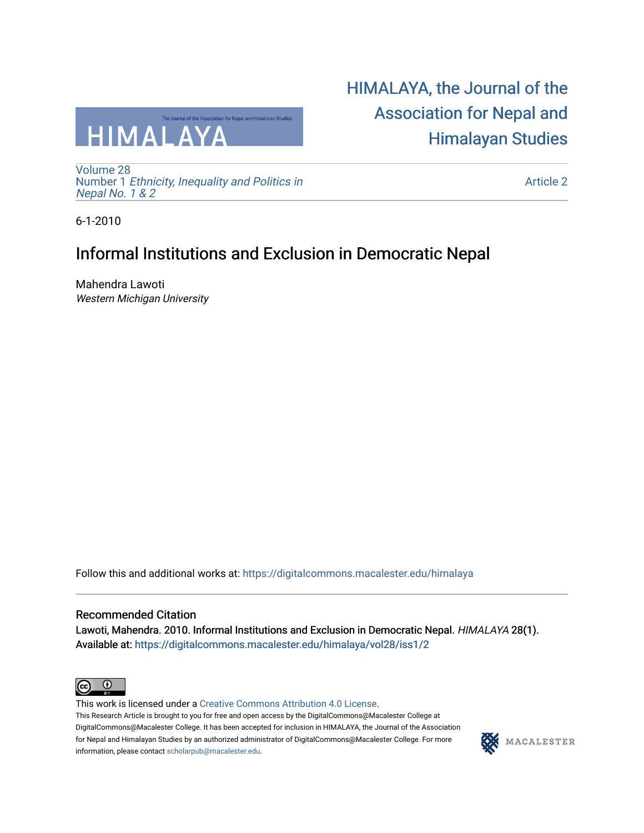

[Volume 28](https://digitalcommons.macalester.edu/himalaya/vol28) Number 1 [Ethnicity, Inequality and Politics in](https://digitalcommons.macalester.edu/himalaya/vol28/iss1)  [Nepal No. 1 & 2](https://digitalcommons.macalester.edu/himalaya/vol28/iss1) 

[HIMALAYA, the Journal of the](https://digitalcommons.macalester.edu/himalaya)  [Association for Nepal and](https://digitalcommons.macalester.edu/himalaya)  [Himalayan Studies](https://digitalcommons.macalester.edu/himalaya) 

[Article 2](https://digitalcommons.macalester.edu/himalaya/vol28/iss1/2) 

6-1-2010

# Informal Institutions and Exclusion in Democratic Nepal

Mahendra Lawoti Western Michigan University

Follow this and additional works at: [https://digitalcommons.macalester.edu/himalaya](https://digitalcommons.macalester.edu/himalaya?utm_source=digitalcommons.macalester.edu%2Fhimalaya%2Fvol28%2Fiss1%2F2&utm_medium=PDF&utm_campaign=PDFCoverPages)

# Recommended Citation

Lawoti, Mahendra. 2010. Informal Institutions and Exclusion in Democratic Nepal. HIMALAYA 28(1). Available at: https:/[/digitalcommons.macalester.edu/himala](https://digitalcommons.macalester.edu/himalaya/vol28/iss1/2?utm_source=digitalcommons.macalester.edu%2Fhimalaya%2Fvol28%2Fiss1%2F2&utm_medium=PDF&utm_campaign=PDFCoverPages)ya/vol28/iss1/2



This work is licensed under a [Creative Commons Attribution 4.0 License](https://creativecommons.org/licenses/by/4.0/). This Research Article is brought to you for free and open access by the DigitalCommons@Macalester College at DigitalCommons@Macalester College. It has been accepted for inclusion in HIMALAYA, the Journal of the Association for Nepal and Himalayan Studies by an authorized administrator of DigitalCommons@Macalester College. For more information, please contact [scholarpub@macalester.edu](mailto:scholarpub@macalester.edu).

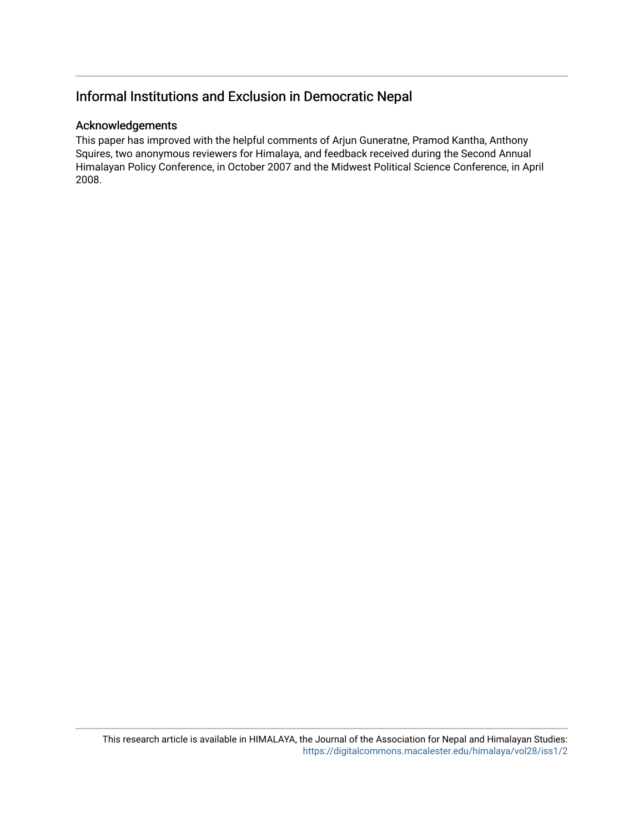# Informal Institutions and Exclusion in Democratic Nepal

# Acknowledgements

This paper has improved with the helpful comments of Arjun Guneratne, Pramod Kantha, Anthony Squires, two anonymous reviewers for Himalaya, and feedback received during the Second Annual Himalayan Policy Conference, in October 2007 and the Midwest Political Science Conference, in April 2008.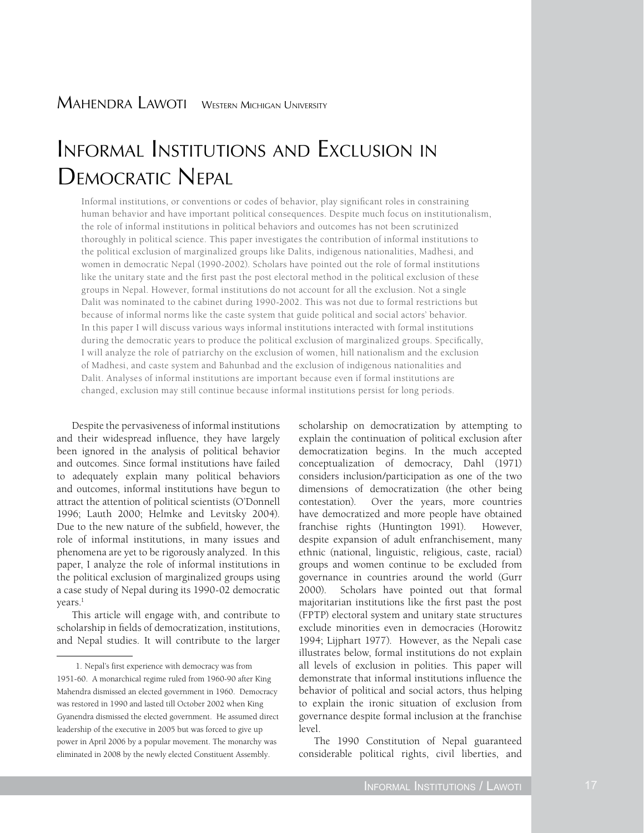# Informal Institutions and Exclusion in DEMOCRATIC NEPAL

Informal institutions, or conventions or codes of behavior, play significant roles in constraining human behavior and have important political consequences. Despite much focus on institutionalism, the role of informal institutions in political behaviors and outcomes has not been scrutinized thoroughly in political science. This paper investigates the contribution of informal institutions to the political exclusion of marginalized groups like Dalits, indigenous nationalities, Madhesi, and women in democratic Nepal (1990-2002). Scholars have pointed out the role of formal institutions like the unitary state and the first past the post electoral method in the political exclusion of these groups in Nepal. However, formal institutions do not account for all the exclusion. Not a single Dalit was nominated to the cabinet during 1990-2002. This was not due to formal restrictions but because of informal norms like the caste system that guide political and social actors' behavior. In this paper I will discuss various ways informal institutions interacted with formal institutions during the democratic years to produce the political exclusion of marginalized groups. Specifically, I will analyze the role of patriarchy on the exclusion of women, hill nationalism and the exclusion of Madhesi, and caste system and Bahunbad and the exclusion of indigenous nationalities and Dalit. Analyses of informal institutions are important because even if formal institutions are changed, exclusion may still continue because informal institutions persist for long periods.

Despite the pervasiveness of informal institutions and their widespread influence, they have largely been ignored in the analysis of political behavior and outcomes. Since formal institutions have failed to adequately explain many political behaviors and outcomes, informal institutions have begun to attract the attention of political scientists (O'Donnell 1996; Lauth 2000; Helmke and Levitsky 2004). Due to the new nature of the subfield, however, the role of informal institutions, in many issues and phenomena are yet to be rigorously analyzed. In this paper, I analyze the role of informal institutions in the political exclusion of marginalized groups using a case study of Nepal during its 1990-02 democratic years.<sup>1</sup>

This article will engage with, and contribute to scholarship in fields of democratization, institutions, and Nepal studies. It will contribute to the larger scholarship on democratization by attempting to explain the continuation of political exclusion after democratization begins. In the much accepted conceptualization of democracy, Dahl (1971) considers inclusion/participation as one of the two dimensions of democratization (the other being contestation). Over the years, more countries have democratized and more people have obtained franchise rights (Huntington 1991). However, despite expansion of adult enfranchisement, many ethnic (national, linguistic, religious, caste, racial) groups and women continue to be excluded from governance in countries around the world (Gurr 2000). Scholars have pointed out that formal majoritarian institutions like the first past the post (FPTP) electoral system and unitary state structures exclude minorities even in democracies (Horowitz 1994; Lijphart 1977). However, as the Nepali case illustrates below, formal institutions do not explain all levels of exclusion in polities. This paper will demonstrate that informal institutions influence the behavior of political and social actors, thus helping to explain the ironic situation of exclusion from governance despite formal inclusion at the franchise level.

The 1990 Constitution of Nepal guaranteed considerable political rights, civil liberties, and

<sup>1.</sup> Nepal's first experience with democracy was from 1951-60. A monarchical regime ruled from 1960-90 after King Mahendra dismissed an elected government in 1960. Democracy was restored in 1990 and lasted till October 2002 when King Gyanendra dismissed the elected government. He assumed direct leadership of the executive in 2005 but was forced to give up power in April 2006 by a popular movement. The monarchy was eliminated in 2008 by the newly elected Constituent Assembly.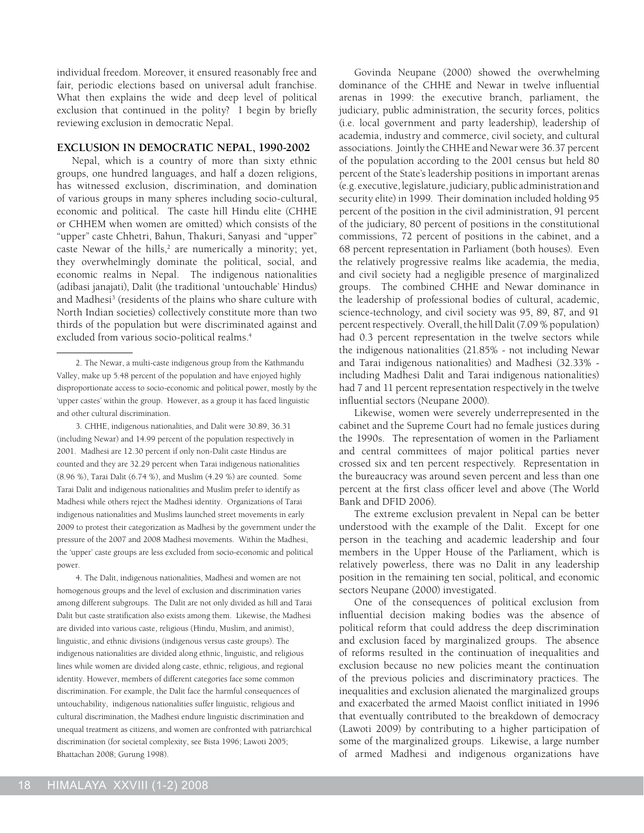individual freedom. Moreover, it ensured reasonably free and fair, periodic elections based on universal adult franchise. What then explains the wide and deep level of political exclusion that continued in the polity? I begin by briefly reviewing exclusion in democratic Nepal.

#### **Exclusion in Democratic Nepal, 1990-2002**

Nepal, which is a country of more than sixty ethnic groups, one hundred languages, and half a dozen religions, has witnessed exclusion, discrimination, and domination of various groups in many spheres including socio-cultural, economic and political. The caste hill Hindu elite (CHHE or CHHEM when women are omitted) which consists of the "upper" caste Chhetri, Bahun, Thakuri, Sanyasi and "upper" caste Newar of the hills,<sup>2</sup> are numerically a minority; yet, they overwhelmingly dominate the political, social, and economic realms in Nepal. The indigenous nationalities (adibasi janajati), Dalit (the traditional 'untouchable' Hindus) and Madhesi<sup>3</sup> (residents of the plains who share culture with North Indian societies) collectively constitute more than two thirds of the population but were discriminated against and excluded from various socio-political realms.<sup>4</sup>

3. CHHE, indigenous nationalities, and Dalit were 30.89, 36.31 (including Newar) and 14.99 percent of the population respectively in 2001. Madhesi are 12.30 percent if only non-Dalit caste Hindus are counted and they are 32.29 percent when Tarai indigenous nationalities (8.96 %), Tarai Dalit (6.74 %), and Muslim (4.29 %) are counted. Some Tarai Dalit and indigenous nationalities and Muslim prefer to identify as Madhesi while others reject the Madhesi identity. Organizations of Tarai indigenous nationalities and Muslims launched street movements in early 2009 to protest their categorization as Madhesi by the government under the pressure of the 2007 and 2008 Madhesi movements. Within the Madhesi, the 'upper' caste groups are less excluded from socio-economic and political power.

4. The Dalit, indigenous nationalities, Madhesi and women are not homogenous groups and the level of exclusion and discrimination varies among different subgroups. The Dalit are not only divided as hill and Tarai Dalit but caste stratification also exists among them. Likewise, the Madhesi are divided into various caste, religious (Hindu, Muslim, and animist), linguistic, and ethnic divisions (indigenous versus caste groups). The indigenous nationalities are divided along ethnic, linguistic, and religious lines while women are divided along caste, ethnic, religious, and regional identity. However, members of different categories face some common discrimination. For example, the Dalit face the harmful consequences of untouchability, indigenous nationalities suffer linguistic, religious and cultural discrimination, the Madhesi endure linguistic discrimination and unequal treatment as citizens, and women are confronted with patriarchical discrimination (for societal complexity, see Bista 1996; Lawoti 2005; Bhattachan 2008; Gurung 1998).

Govinda Neupane (2000) showed the overwhelming dominance of the CHHE and Newar in twelve influential arenas in 1999: the executive branch, parliament, the judiciary, public administration, the security forces, politics (i.e. local government and party leadership), leadership of academia, industry and commerce, civil society, and cultural associations. Jointly the CHHE and Newar were 36.37 percent of the population according to the 2001 census but held 80 percent of the State's leadership positions in important arenas (e.g. executive, legislature, judiciary, public administration and security elite) in 1999. Their domination included holding 95 percent of the position in the civil administration, 91 percent of the judiciary, 80 percent of positions in the constitutional commissions, 72 percent of positions in the cabinet, and a 68 percent representation in Parliament (both houses). Even the relatively progressive realms like academia, the media, and civil society had a negligible presence of marginalized groups. The combined CHHE and Newar dominance in the leadership of professional bodies of cultural, academic, science-technology, and civil society was 95, 89, 87, and 91 percent respectively. Overall, the hill Dalit (7.09 % population) had 0.3 percent representation in the twelve sectors while the indigenous nationalities (21.85% - not including Newar and Tarai indigenous nationalities) and Madhesi (32.33% including Madhesi Dalit and Tarai indigenous nationalities) had 7 and 11 percent representation respectively in the twelve influential sectors (Neupane 2000).

Likewise, women were severely underrepresented in the cabinet and the Supreme Court had no female justices during the 1990s. The representation of women in the Parliament and central committees of major political parties never crossed six and ten percent respectively. Representation in the bureaucracy was around seven percent and less than one percent at the first class officer level and above (The World Bank and DFID 2006).

The extreme exclusion prevalent in Nepal can be better understood with the example of the Dalit. Except for one person in the teaching and academic leadership and four members in the Upper House of the Parliament, which is relatively powerless, there was no Dalit in any leadership position in the remaining ten social, political, and economic sectors Neupane (2000) investigated.

One of the consequences of political exclusion from influential decision making bodies was the absence of political reform that could address the deep discrimination and exclusion faced by marginalized groups. The absence of reforms resulted in the continuation of inequalities and exclusion because no new policies meant the continuation of the previous policies and discriminatory practices. The inequalities and exclusion alienated the marginalized groups and exacerbated the armed Maoist conflict initiated in 1996 that eventually contributed to the breakdown of democracy (Lawoti 2009) by contributing to a higher participation of some of the marginalized groups. Likewise, a large number of armed Madhesi and indigenous organizations have

<sup>2.</sup> The Newar, a multi-caste indigenous group from the Kathmandu Valley, make up 5.48 percent of the population and have enjoyed highly disproportionate access to socio-economic and political power, mostly by the 'upper castes' within the group. However, as a group it has faced linguistic and other cultural discrimination.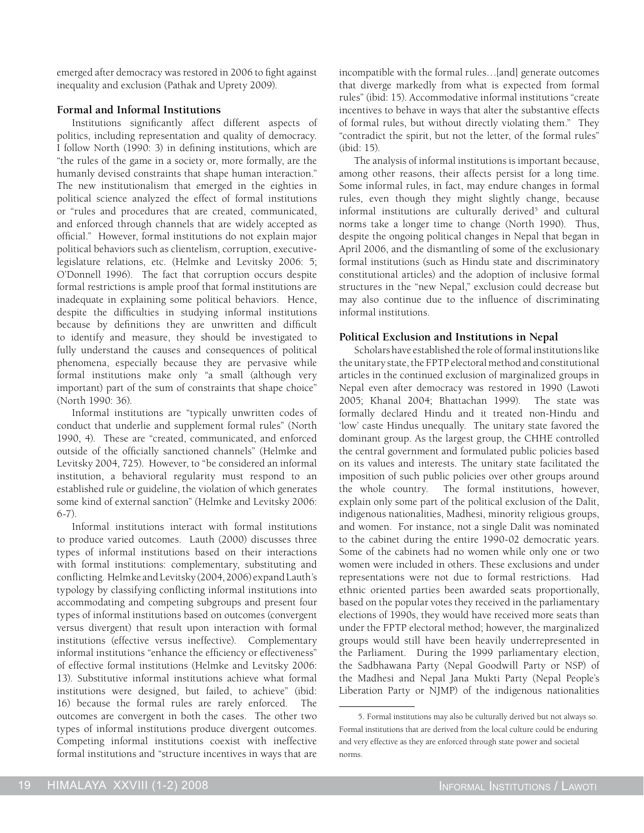emerged after democracy was restored in 2006 to fight against inequality and exclusion (Pathak and Uprety 2009).

# **Formal and Informal Institutions**

Institutions significantly affect different aspects of politics, including representation and quality of democracy. I follow North (1990: 3) in defining institutions, which are "the rules of the game in a society or, more formally, are the humanly devised constraints that shape human interaction." The new institutionalism that emerged in the eighties in political science analyzed the effect of formal institutions or "rules and procedures that are created, communicated, and enforced through channels that are widely accepted as official." However, formal institutions do not explain major political behaviors such as clientelism, corruption, executivelegislature relations, etc. (Helmke and Levitsky 2006: 5; O'Donnell 1996). The fact that corruption occurs despite formal restrictions is ample proof that formal institutions are inadequate in explaining some political behaviors. Hence, despite the difficulties in studying informal institutions because by definitions they are unwritten and difficult to identify and measure, they should be investigated to fully understand the causes and consequences of political phenomena, especially because they are pervasive while formal institutions make only "a small (although very important) part of the sum of constraints that shape choice" (North 1990: 36).

Informal institutions are "typically unwritten codes of conduct that underlie and supplement formal rules" (North 1990, 4). These are "created, communicated, and enforced outside of the officially sanctioned channels" (Helmke and Levitsky 2004, 725). However, to "be considered an informal institution, a behavioral regularity must respond to an established rule or guideline, the violation of which generates some kind of external sanction" (Helmke and Levitsky 2006: 6-7).

Informal institutions interact with formal institutions to produce varied outcomes. Lauth (2000) discusses three types of informal institutions based on their interactions with formal institutions: complementary, substituting and conflicting. Helmke and Levitsky (2004, 2006) expand Lauth's typology by classifying conflicting informal institutions into accommodating and competing subgroups and present four types of informal institutions based on outcomes (convergent versus divergent) that result upon interaction with formal institutions (effective versus ineffective). Complementary informal institutions "enhance the efficiency or effectiveness" of effective formal institutions (Helmke and Levitsky 2006: 13). Substitutive informal institutions achieve what formal institutions were designed, but failed, to achieve" (ibid: 16) because the formal rules are rarely enforced. The outcomes are convergent in both the cases. The other two types of informal institutions produce divergent outcomes. Competing informal institutions coexist with ineffective formal institutions and "structure incentives in ways that are

incompatible with the formal rules…[and] generate outcomes that diverge markedly from what is expected from formal rules" (ibid: 15). Accommodative informal institutions "create incentives to behave in ways that alter the substantive effects of formal rules, but without directly violating them." They "contradict the spirit, but not the letter, of the formal rules" (ibid: 15).

The analysis of informal institutions is important because, among other reasons, their affects persist for a long time. Some informal rules, in fact, may endure changes in formal rules, even though they might slightly change, because informal institutions are culturally derived<sup>5</sup> and cultural norms take a longer time to change (North 1990). Thus, despite the ongoing political changes in Nepal that began in April 2006, and the dismantling of some of the exclusionary formal institutions (such as Hindu state and discriminatory constitutional articles) and the adoption of inclusive formal structures in the "new Nepal," exclusion could decrease but may also continue due to the influence of discriminating informal institutions.

# **Political Exclusion and Institutions in Nepal**

Scholars have established the role of formal institutions like the unitary state, the FPTP electoral method and constitutional articles in the continued exclusion of marginalized groups in Nepal even after democracy was restored in 1990 (Lawoti 2005; Khanal 2004; Bhattachan 1999). The state was formally declared Hindu and it treated non-Hindu and 'low' caste Hindus unequally. The unitary state favored the dominant group. As the largest group, the CHHE controlled the central government and formulated public policies based on its values and interests. The unitary state facilitated the imposition of such public policies over other groups around the whole country. The formal institutions, however, explain only some part of the political exclusion of the Dalit, indigenous nationalities, Madhesi, minority religious groups, and women. For instance, not a single Dalit was nominated to the cabinet during the entire 1990-02 democratic years. Some of the cabinets had no women while only one or two women were included in others. These exclusions and under representations were not due to formal restrictions. Had ethnic oriented parties been awarded seats proportionally, based on the popular votes they received in the parliamentary elections of 1990s, they would have received more seats than under the FPTP electoral method; however, the marginalized groups would still have been heavily underrepresented in the Parliament. During the 1999 parliamentary election, the Sadbhawana Party (Nepal Goodwill Party or NSP) of the Madhesi and Nepal Jana Mukti Party (Nepal People's Liberation Party or NJMP) of the indigenous nationalities

<sup>5.</sup> Formal institutions may also be culturally derived but not always so. Formal institutions that are derived from the local culture could be enduring and very effective as they are enforced through state power and societal norms.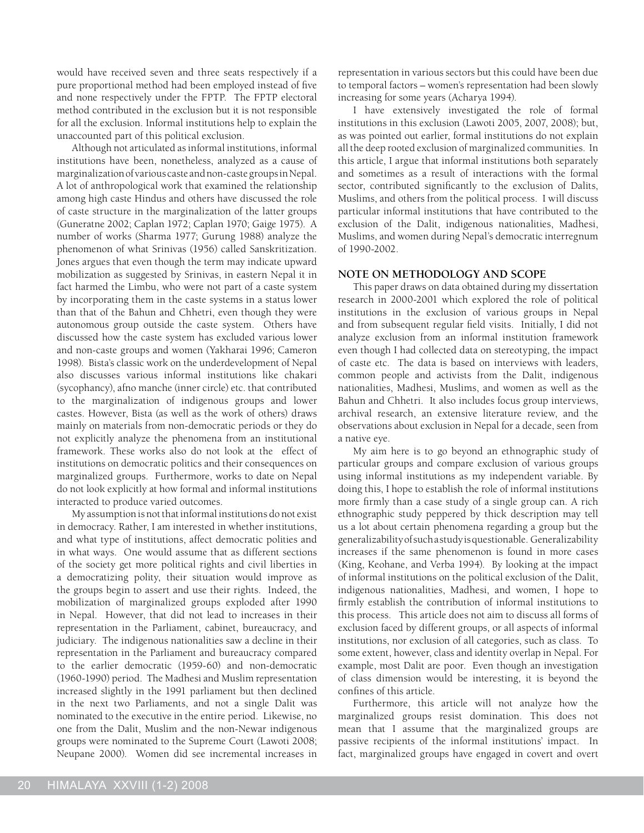would have received seven and three seats respectively if a pure proportional method had been employed instead of five and none respectively under the FPTP. The FPTP electoral method contributed in the exclusion but it is not responsible for all the exclusion. Informal institutions help to explain the unaccounted part of this political exclusion.

Although not articulated as informal institutions, informal institutions have been, nonetheless, analyzed as a cause of marginalization of various caste and non-caste groups in Nepal. A lot of anthropological work that examined the relationship among high caste Hindus and others have discussed the role of caste structure in the marginalization of the latter groups (Guneratne 2002; Caplan 1972; Caplan 1970; Gaige 1975). A number of works (Sharma 1977; Gurung 1988) analyze the phenomenon of what Srinivas (1956) called Sanskritization. Jones argues that even though the term may indicate upward mobilization as suggested by Srinivas, in eastern Nepal it in fact harmed the Limbu, who were not part of a caste system by incorporating them in the caste systems in a status lower than that of the Bahun and Chhetri, even though they were autonomous group outside the caste system. Others have discussed how the caste system has excluded various lower and non-caste groups and women (Yakharai 1996; Cameron 1998). Bista's classic work on the underdevelopment of Nepal also discusses various informal institutions like chakari (sycophancy), afno manche (inner circle) etc. that contributed to the marginalization of indigenous groups and lower castes. However, Bista (as well as the work of others) draws mainly on materials from non-democratic periods or they do not explicitly analyze the phenomena from an institutional framework. These works also do not look at the effect of institutions on democratic politics and their consequences on marginalized groups. Furthermore, works to date on Nepal do not look explicitly at how formal and informal institutions interacted to produce varied outcomes.

My assumption is not that informal institutions do not exist in democracy. Rather, I am interested in whether institutions, and what type of institutions, affect democratic polities and in what ways. One would assume that as different sections of the society get more political rights and civil liberties in a democratizing polity, their situation would improve as the groups begin to assert and use their rights. Indeed, the mobilization of marginalized groups exploded after 1990 in Nepal. However, that did not lead to increases in their representation in the Parliament, cabinet, bureaucracy, and judiciary. The indigenous nationalities saw a decline in their representation in the Parliament and bureaucracy compared to the earlier democratic (1959-60) and non-democratic (1960-1990) period. The Madhesi and Muslim representation increased slightly in the 1991 parliament but then declined in the next two Parliaments, and not a single Dalit was nominated to the executive in the entire period. Likewise, no one from the Dalit, Muslim and the non-Newar indigenous groups were nominated to the Supreme Court (Lawoti 2008; Neupane 2000). Women did see incremental increases in representation in various sectors but this could have been due to temporal factors – women's representation had been slowly increasing for some years (Acharya 1994).

I have extensively investigated the role of formal institutions in this exclusion (Lawoti 2005, 2007, 2008); but, as was pointed out earlier, formal institutions do not explain all the deep rooted exclusion of marginalized communities. In this article, I argue that informal institutions both separately and sometimes as a result of interactions with the formal sector, contributed significantly to the exclusion of Dalits, Muslims, and others from the political process. I will discuss particular informal institutions that have contributed to the exclusion of the Dalit, indigenous nationalities, Madhesi, Muslims, and women during Nepal's democratic interregnum of 1990-2002.

# **NOTE ON METHODOLOGY AND SCOPE**

This paper draws on data obtained during my dissertation research in 2000-2001 which explored the role of political institutions in the exclusion of various groups in Nepal and from subsequent regular field visits. Initially, I did not analyze exclusion from an informal institution framework even though I had collected data on stereotyping, the impact of caste etc. The data is based on interviews with leaders, common people and activists from the Dalit, indigenous nationalities, Madhesi, Muslims, and women as well as the Bahun and Chhetri. It also includes focus group interviews, archival research, an extensive literature review, and the observations about exclusion in Nepal for a decade, seen from a native eye.

My aim here is to go beyond an ethnographic study of particular groups and compare exclusion of various groups using informal institutions as my independent variable. By doing this, I hope to establish the role of informal institutions more firmly than a case study of a single group can. A rich ethnographic study peppered by thick description may tell us a lot about certain phenomena regarding a group but the generalizability of such a study is questionable. Generalizability increases if the same phenomenon is found in more cases (King, Keohane, and Verba 1994). By looking at the impact of informal institutions on the political exclusion of the Dalit, indigenous nationalities, Madhesi, and women, I hope to firmly establish the contribution of informal institutions to this process. This article does not aim to discuss all forms of exclusion faced by different groups, or all aspects of informal institutions, nor exclusion of all categories, such as class. To some extent, however, class and identity overlap in Nepal. For example, most Dalit are poor. Even though an investigation of class dimension would be interesting, it is beyond the confines of this article.

Furthermore, this article will not analyze how the marginalized groups resist domination. This does not mean that I assume that the marginalized groups are passive recipients of the informal institutions' impact. In fact, marginalized groups have engaged in covert and overt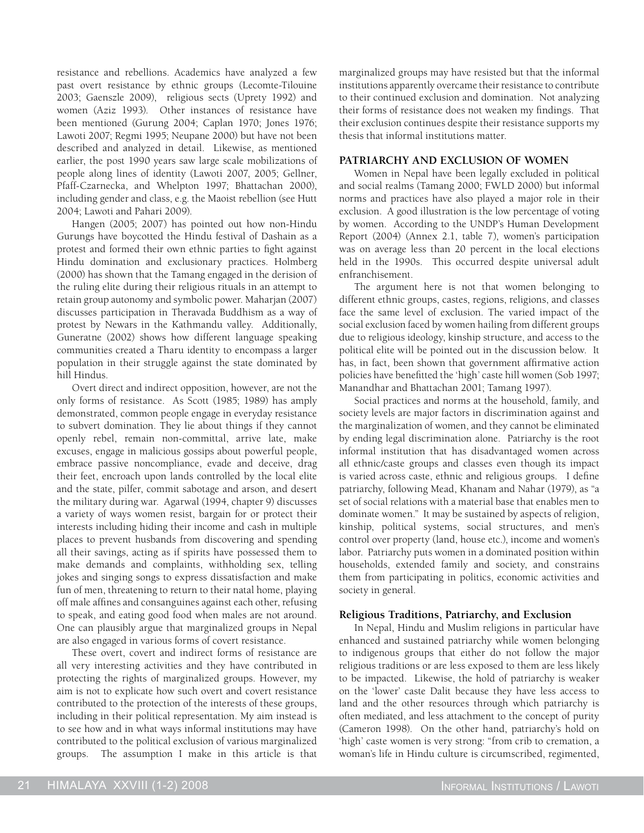resistance and rebellions. Academics have analyzed a few past overt resistance by ethnic groups (Lecomte-Tilouine 2003; Gaenszle 2009), religious sects (Uprety 1992) and women (Aziz 1993). Other instances of resistance have been mentioned (Gurung 2004; Caplan 1970; Jones 1976; Lawoti 2007; Regmi 1995; Neupane 2000) but have not been described and analyzed in detail. Likewise, as mentioned earlier, the post 1990 years saw large scale mobilizations of people along lines of identity (Lawoti 2007, 2005; Gellner, Pfaff-Czarnecka, and Whelpton 1997; Bhattachan 2000), including gender and class, e.g. the Maoist rebellion (see Hutt 2004; Lawoti and Pahari 2009).

Hangen (2005; 2007) has pointed out how non-Hindu Gurungs have boycotted the Hindu festival of Dashain as a protest and formed their own ethnic parties to fight against Hindu domination and exclusionary practices. Holmberg (2000) has shown that the Tamang engaged in the derision of the ruling elite during their religious rituals in an attempt to retain group autonomy and symbolic power. Maharjan (2007) discusses participation in Theravada Buddhism as a way of protest by Newars in the Kathmandu valley. Additionally, Guneratne (2002) shows how different language speaking communities created a Tharu identity to encompass a larger population in their struggle against the state dominated by hill Hindus.

Overt direct and indirect opposition, however, are not the only forms of resistance. As Scott (1985; 1989) has amply demonstrated, common people engage in everyday resistance to subvert domination. They lie about things if they cannot openly rebel, remain non-committal, arrive late, make excuses, engage in malicious gossips about powerful people, embrace passive noncompliance, evade and deceive, drag their feet, encroach upon lands controlled by the local elite and the state, pilfer, commit sabotage and arson, and desert the military during war. Agarwal (1994, chapter 9) discusses a variety of ways women resist, bargain for or protect their interests including hiding their income and cash in multiple places to prevent husbands from discovering and spending all their savings, acting as if spirits have possessed them to make demands and complaints, withholding sex, telling jokes and singing songs to express dissatisfaction and make fun of men, threatening to return to their natal home, playing off male affines and consanguines against each other, refusing to speak, and eating good food when males are not around. One can plausibly argue that marginalized groups in Nepal are also engaged in various forms of covert resistance.

These overt, covert and indirect forms of resistance are all very interesting activities and they have contributed in protecting the rights of marginalized groups. However, my aim is not to explicate how such overt and covert resistance contributed to the protection of the interests of these groups, including in their political representation. My aim instead is to see how and in what ways informal institutions may have contributed to the political exclusion of various marginalized groups. The assumption I make in this article is that marginalized groups may have resisted but that the informal institutions apparently overcame their resistance to contribute to their continued exclusion and domination. Not analyzing their forms of resistance does not weaken my findings. That their exclusion continues despite their resistance supports my thesis that informal institutions matter.

#### **PATRIARCHY AND EXCLUSION OF WOMEN**

Women in Nepal have been legally excluded in political and social realms (Tamang 2000; FWLD 2000) but informal norms and practices have also played a major role in their exclusion. A good illustration is the low percentage of voting by women. According to the UNDP's Human Development Report (2004) (Annex 2.1, table 7), women's participation was on average less than 20 percent in the local elections held in the 1990s. This occurred despite universal adult enfranchisement.

The argument here is not that women belonging to different ethnic groups, castes, regions, religions, and classes face the same level of exclusion. The varied impact of the social exclusion faced by women hailing from different groups due to religious ideology, kinship structure, and access to the political elite will be pointed out in the discussion below. It has, in fact, been shown that government affirmative action policies have benefitted the 'high' caste hill women (Sob 1997; Manandhar and Bhattachan 2001; Tamang 1997).

Social practices and norms at the household, family, and society levels are major factors in discrimination against and the marginalization of women, and they cannot be eliminated by ending legal discrimination alone. Patriarchy is the root informal institution that has disadvantaged women across all ethnic/caste groups and classes even though its impact is varied across caste, ethnic and religious groups. I define patriarchy, following Mead, Khanam and Nahar (1979), as "a set of social relations with a material base that enables men to dominate women." It may be sustained by aspects of religion, kinship, political systems, social structures, and men's control over property (land, house etc.), income and women's labor. Patriarchy puts women in a dominated position within households, extended family and society, and constrains them from participating in politics, economic activities and society in general.

#### **Religious Traditions, Patriarchy, and Exclusion**

In Nepal, Hindu and Muslim religions in particular have enhanced and sustained patriarchy while women belonging to indigenous groups that either do not follow the major religious traditions or are less exposed to them are less likely to be impacted. Likewise, the hold of patriarchy is weaker on the 'lower' caste Dalit because they have less access to land and the other resources through which patriarchy is often mediated, and less attachment to the concept of purity (Cameron 1998). On the other hand, patriarchy's hold on 'high' caste women is very strong: "from crib to cremation, a woman's life in Hindu culture is circumscribed, regimented,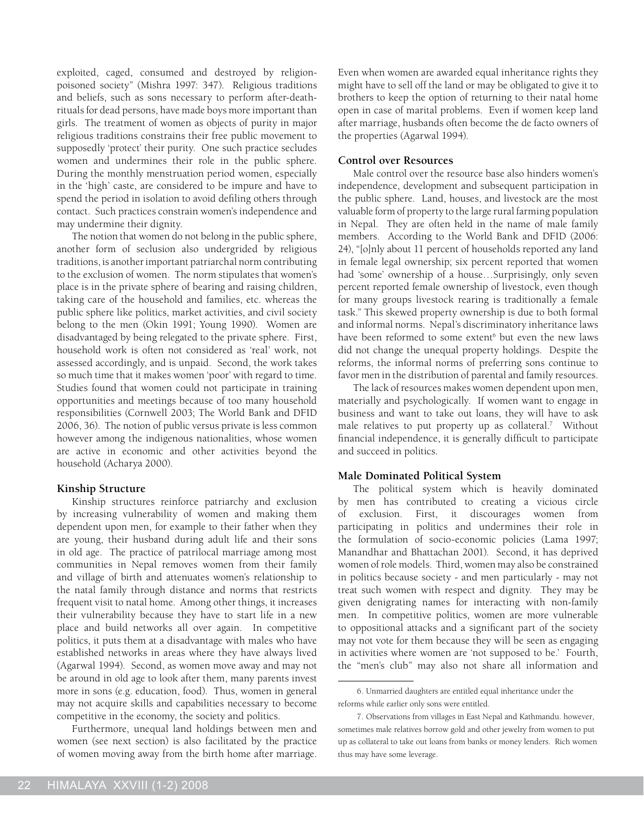exploited, caged, consumed and destroyed by religionpoisoned society" (Mishra 1997: 347). Religious traditions and beliefs, such as sons necessary to perform after-deathrituals for dead persons, have made boys more important than girls. The treatment of women as objects of purity in major religious traditions constrains their free public movement to supposedly 'protect' their purity. One such practice secludes women and undermines their role in the public sphere. During the monthly menstruation period women, especially in the 'high' caste, are considered to be impure and have to spend the period in isolation to avoid defiling others through contact. Such practices constrain women's independence and may undermine their dignity.

The notion that women do not belong in the public sphere, another form of seclusion also undergrided by religious traditions, is another important patriarchal norm contributing to the exclusion of women. The norm stipulates that women's place is in the private sphere of bearing and raising children, taking care of the household and families, etc. whereas the public sphere like politics, market activities, and civil society belong to the men (Okin 1991; Young 1990). Women are disadvantaged by being relegated to the private sphere. First, household work is often not considered as 'real' work, not assessed accordingly, and is unpaid. Second, the work takes so much time that it makes women 'poor' with regard to time. Studies found that women could not participate in training opportunities and meetings because of too many household responsibilities (Cornwell 2003; The World Bank and DFID 2006, 36). The notion of public versus private is less common however among the indigenous nationalities, whose women are active in economic and other activities beyond the household (Acharya 2000).

# **Kinship Structure**

Kinship structures reinforce patriarchy and exclusion by increasing vulnerability of women and making them dependent upon men, for example to their father when they are young, their husband during adult life and their sons in old age. The practice of patrilocal marriage among most communities in Nepal removes women from their family and village of birth and attenuates women's relationship to the natal family through distance and norms that restricts frequent visit to natal home. Among other things, it increases their vulnerability because they have to start life in a new place and build networks all over again. In competitive politics, it puts them at a disadvantage with males who have established networks in areas where they have always lived (Agarwal 1994). Second, as women move away and may not be around in old age to look after them, many parents invest more in sons (e.g. education, food). Thus, women in general may not acquire skills and capabilities necessary to become competitive in the economy, the society and politics.

Furthermore, unequal land holdings between men and women (see next section) is also facilitated by the practice of women moving away from the birth home after marriage.

Even when women are awarded equal inheritance rights they might have to sell off the land or may be obligated to give it to brothers to keep the option of returning to their natal home open in case of marital problems. Even if women keep land after marriage, husbands often become the de facto owners of the properties (Agarwal 1994).

#### **Control over Resources**

Male control over the resource base also hinders women's independence, development and subsequent participation in the public sphere. Land, houses, and livestock are the most valuable form of property to the large rural farming population in Nepal. They are often held in the name of male family members. According to the World Bank and DFID (2006: 24), "[o]nly about 11 percent of households reported any land in female legal ownership; six percent reported that women had 'some' ownership of a house…Surprisingly, only seven percent reported female ownership of livestock, even though for many groups livestock rearing is traditionally a female task." This skewed property ownership is due to both formal and informal norms. Nepal's discriminatory inheritance laws have been reformed to some extent<sup>6</sup> but even the new laws did not change the unequal property holdings. Despite the reforms, the informal norms of preferring sons continue to favor men in the distribution of parental and family resources.

The lack of resources makes women dependent upon men, materially and psychologically. If women want to engage in business and want to take out loans, they will have to ask male relatives to put property up as collateral.<sup>7</sup> Without financial independence, it is generally difficult to participate and succeed in politics.

#### **Male Dominated Political System**

The political system which is heavily dominated by men has contributed to creating a vicious circle of exclusion. First, it discourages women from participating in politics and undermines their role in the formulation of socio-economic policies (Lama 1997; Manandhar and Bhattachan 2001). Second, it has deprived women of role models. Third, women may also be constrained in politics because society - and men particularly - may not treat such women with respect and dignity. They may be given denigrating names for interacting with non-family men. In competitive politics, women are more vulnerable to oppositional attacks and a significant part of the society may not vote for them because they will be seen as engaging in activities where women are 'not supposed to be.' Fourth, the "men's club" may also not share all information and

<sup>6.</sup> Unmarried daughters are entitled equal inheritance under the reforms while earlier only sons were entitled.

<sup>7.</sup> Observations from villages in East Nepal and Kathmandu. however, sometimes male relatives borrow gold and other jewelry from women to put up as collateral to take out loans from banks or money lenders. Rich women thus may have some leverage.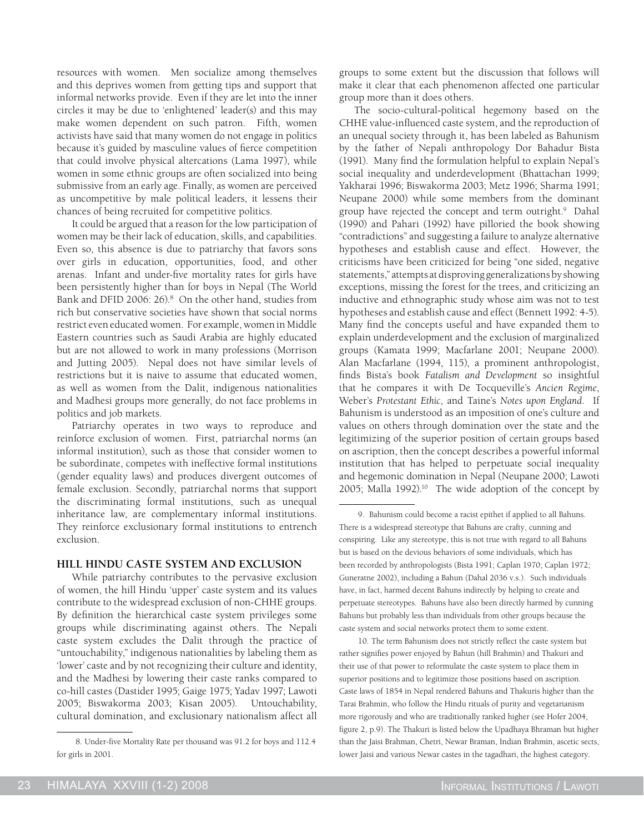resources with women. Men socialize among themselves and this deprives women from getting tips and support that informal networks provide. Even if they are let into the inner circles it may be due to 'enlightened' leader(s) and this may make women dependent on such patron. Fifth, women activists have said that many women do not engage in politics because it's guided by masculine values of fierce competition that could involve physical altercations (Lama 1997), while women in some ethnic groups are often socialized into being submissive from an early age. Finally, as women are perceived as uncompetitive by male political leaders, it lessens their chances of being recruited for competitive politics.

It could be argued that a reason for the low participation of women may be their lack of education, skills, and capabilities. Even so, this absence is due to patriarchy that favors sons over girls in education, opportunities, food, and other arenas. Infant and under-five mortality rates for girls have been persistently higher than for boys in Nepal (The World Bank and DFID 2006: 26).<sup>8</sup> On the other hand, studies from rich but conservative societies have shown that social norms restrict even educated women. For example, women in Middle Eastern countries such as Saudi Arabia are highly educated but are not allowed to work in many professions (Morrison and Jutting 2005). Nepal does not have similar levels of restrictions but it is naive to assume that educated women, as well as women from the Dalit, indigenous nationalities and Madhesi groups more generally, do not face problems in politics and job markets.

Patriarchy operates in two ways to reproduce and reinforce exclusion of women. First, patriarchal norms (an informal institution), such as those that consider women to be subordinate, competes with ineffective formal institutions (gender equality laws) and produces divergent outcomes of female exclusion. Secondly, patriarchal norms that support the discriminating formal institutions, such as unequal inheritance law, are complementary informal institutions. They reinforce exclusionary formal institutions to entrench exclusion.

# **HILL HINDU CASTE SYSTEM AND EXCLUSION**

While patriarchy contributes to the pervasive exclusion of women, the hill Hindu 'upper' caste system and its values contribute to the widespread exclusion of non-CHHE groups. By definition the hierarchical caste system privileges some groups while discriminating against others. The Nepali caste system excludes the Dalit through the practice of "untouchability," indigenous nationalities by labeling them as 'lower' caste and by not recognizing their culture and identity, and the Madhesi by lowering their caste ranks compared to co-hill castes (Dastider 1995; Gaige 1975; Yadav 1997; Lawoti 2005; Biswakorma 2003; Kisan 2005). Untouchability, cultural domination, and exclusionary nationalism affect all

groups to some extent but the discussion that follows will make it clear that each phenomenon affected one particular group more than it does others.

The socio-cultural-political hegemony based on the CHHE value-influenced caste system, and the reproduction of an unequal society through it, has been labeled as Bahunism by the father of Nepali anthropology Dor Bahadur Bista (1991). Many find the formulation helpful to explain Nepal's social inequality and underdevelopment (Bhattachan 1999; Yakharai 1996; Biswakorma 2003; Metz 1996; Sharma 1991; Neupane 2000) while some members from the dominant group have rejected the concept and term outright.<sup>9</sup> Dahal (1990) and Pahari (1992) have pilloried the book showing "contradictions" and suggesting a failure to analyze alternative hypotheses and establish cause and effect. However, the criticisms have been criticized for being "one sided, negative statements," attempts at disproving generalizations by showing exceptions, missing the forest for the trees, and criticizing an inductive and ethnographic study whose aim was not to test hypotheses and establish cause and effect (Bennett 1992: 4-5). Many find the concepts useful and have expanded them to explain underdevelopment and the exclusion of marginalized groups (Kamata 1999; Macfarlane 2001; Neupane 2000). Alan Macfarlane (1994, 115), a prominent anthropologist, finds Bista's book *Fatalism and Development* so insightful that he compares it with De Tocqueville's *Ancien Regime*, Weber's *Protestant Ethic*, and Taine's *Notes upon England*. If Bahunism is understood as an imposition of one's culture and values on others through domination over the state and the legitimizing of the superior position of certain groups based on ascription, then the concept describes a powerful informal institution that has helped to perpetuate social inequality and hegemonic domination in Nepal (Neupane 2000; Lawoti 2005; Malla 1992).<sup>10</sup> The wide adoption of the concept by

10. The term Bahunism does not strictly reflect the caste system but rather signifies power enjoyed by Bahun (hill Brahmin) and Thakuri and their use of that power to reformulate the caste system to place them in superior positions and to legitimize those positions based on ascription. Caste laws of 1854 in Nepal rendered Bahuns and Thakuris higher than the Tarai Brahmin, who follow the Hindu rituals of purity and vegetarianism more rigorously and who are traditionally ranked higher (see Hofer 2004, figure 2, p.9). The Thakuri is listed below the Upadhaya Bhraman but higher than the Jaisi Brahman, Chetri, Newar Braman, Indian Brahmin, ascetic sects, lower Jaisi and various Newar castes in the tagadhari, the highest category.

<sup>8.</sup> Under-five Mortality Rate per thousand was 91.2 for boys and 112.4 for girls in 2001.

<sup>9.</sup> Bahunism could become a racist epithet if applied to all Bahuns. There is a widespread stereotype that Bahuns are crafty, cunning and conspiring. Like any stereotype, this is not true with regard to all Bahuns but is based on the devious behaviors of some individuals, which has been recorded by anthropologists (Bista 1991; Caplan 1970; Caplan 1972; Guneratne 2002), including a Bahun (Dahal 2036 v.s.). Such individuals have, in fact, harmed decent Bahuns indirectly by helping to create and perpetuate stereotypes. Bahuns have also been directly harmed by cunning Bahuns but probably less than individuals from other groups because the caste system and social networks protect them to some extent.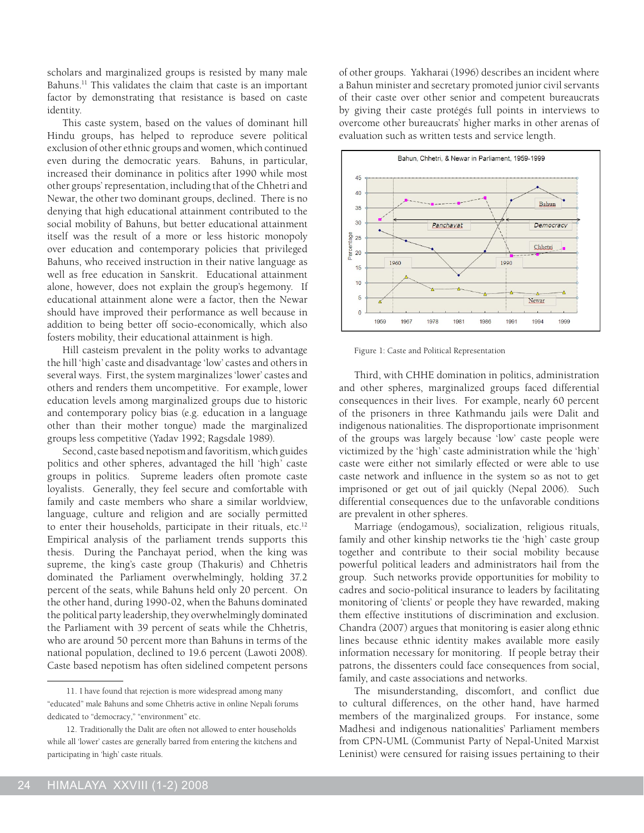scholars and marginalized groups is resisted by many male Bahuns.<sup>11</sup> This validates the claim that caste is an important factor by demonstrating that resistance is based on caste identity.

This caste system, based on the values of dominant hill Hindu groups, has helped to reproduce severe political exclusion of other ethnic groups and women, which continued even during the democratic years. Bahuns, in particular, increased their dominance in politics after 1990 while most other groups' representation, including that of the Chhetri and Newar, the other two dominant groups, declined. There is no denying that high educational attainment contributed to the social mobility of Bahuns, but better educational attainment itself was the result of a more or less historic monopoly over education and contemporary policies that privileged Bahuns, who received instruction in their native language as well as free education in Sanskrit. Educational attainment alone, however, does not explain the group's hegemony. If educational attainment alone were a factor, then the Newar should have improved their performance as well because in addition to being better off socio-economically, which also fosters mobility, their educational attainment is high.

Hill casteism prevalent in the polity works to advantage the hill 'high' caste and disadvantage 'low' castes and others in several ways. First, the system marginalizes 'lower' castes and others and renders them uncompetitive. For example, lower education levels among marginalized groups due to historic and contemporary policy bias (e.g. education in a language other than their mother tongue) made the marginalized groups less competitive (Yadav 1992; Ragsdale 1989).

Second, caste based nepotism and favoritism, which guides politics and other spheres, advantaged the hill 'high' caste groups in politics. Supreme leaders often promote caste loyalists. Generally, they feel secure and comfortable with family and caste members who share a similar worldview, language, culture and religion and are socially permitted to enter their households, participate in their rituals, etc.<sup>12</sup> Empirical analysis of the parliament trends supports this thesis. During the Panchayat period, when the king was supreme, the king's caste group (Thakuris) and Chhetris dominated the Parliament overwhelmingly, holding 37.2 percent of the seats, while Bahuns held only 20 percent. On the other hand, during 1990-02, when the Bahuns dominated the political party leadership, they overwhelmingly dominated the Parliament with 39 percent of seats while the Chhetris, who are around 50 percent more than Bahuns in terms of the national population, declined to 19.6 percent (Lawoti 2008). Caste based nepotism has often sidelined competent persons of other groups. Yakharai (1996) describes an incident where a Bahun minister and secretary promoted junior civil servants of their caste over other senior and competent bureaucrats by giving their caste protégés full points in interviews to overcome other bureaucrats' higher marks in other arenas of evaluation such as written tests and service length.



Figure 1: Caste and Political Representation

Third, with CHHE domination in politics, administration and other spheres, marginalized groups faced differential consequences in their lives. For example, nearly 60 percent of the prisoners in three Kathmandu jails were Dalit and indigenous nationalities. The disproportionate imprisonment of the groups was largely because 'low' caste people were victimized by the 'high' caste administration while the 'high' caste were either not similarly effected or were able to use caste network and influence in the system so as not to get imprisoned or get out of jail quickly (Nepal 2006). Such differential consequences due to the unfavorable conditions are prevalent in other spheres.

Marriage (endogamous), socialization, religious rituals, family and other kinship networks tie the 'high' caste group together and contribute to their social mobility because powerful political leaders and administrators hail from the group. Such networks provide opportunities for mobility to cadres and socio-political insurance to leaders by facilitating monitoring of 'clients' or people they have rewarded, making them effective institutions of discrimination and exclusion. Chandra (2007) argues that monitoring is easier along ethnic lines because ethnic identity makes available more easily information necessary for monitoring. If people betray their patrons, the dissenters could face consequences from social, family, and caste associations and networks.

The misunderstanding, discomfort, and conflict due to cultural differences, on the other hand, have harmed members of the marginalized groups. For instance, some Madhesi and indigenous nationalities' Parliament members from CPN-UML (Communist Party of Nepal-United Marxist Leninist) were censured for raising issues pertaining to their

<sup>11.</sup> I have found that rejection is more widespread among many "educated" male Bahuns and some Chhetris active in online Nepali forums dedicated to "democracy," "environment" etc.

<sup>12.</sup> Traditionally the Dalit are often not allowed to enter households while all 'lower' castes are generally barred from entering the kitchens and participating in 'high' caste rituals.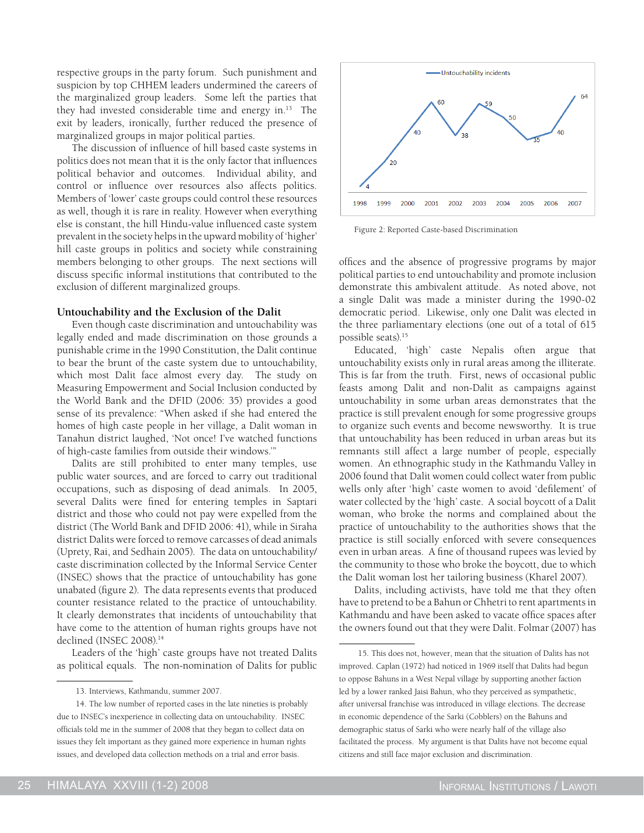respective groups in the party forum. Such punishment and suspicion by top CHHEM leaders undermined the careers of the marginalized group leaders. Some left the parties that they had invested considerable time and energy in.13 The exit by leaders, ironically, further reduced the presence of marginalized groups in major political parties.

The discussion of influence of hill based caste systems in politics does not mean that it is the only factor that influences political behavior and outcomes. Individual ability, and control or influence over resources also affects politics. Members of 'lower' caste groups could control these resources as well, though it is rare in reality. However when everything else is constant, the hill Hindu-value influenced caste system prevalent in the society helps in the upward mobility of 'higher' hill caste groups in politics and society while constraining members belonging to other groups. The next sections will discuss specific informal institutions that contributed to the exclusion of different marginalized groups.

#### **Untouchability and the Exclusion of the Dalit**

Even though caste discrimination and untouchability was legally ended and made discrimination on those grounds a punishable crime in the 1990 Constitution, the Dalit continue to bear the brunt of the caste system due to untouchability, which most Dalit face almost every day. The study on Measuring Empowerment and Social Inclusion conducted by the World Bank and the DFID (2006: 35) provides a good sense of its prevalence: "When asked if she had entered the homes of high caste people in her village, a Dalit woman in Tanahun district laughed, 'Not once! I've watched functions of high-caste families from outside their windows.'"

Dalits are still prohibited to enter many temples, use public water sources, and are forced to carry out traditional occupations, such as disposing of dead animals. In 2005, several Dalits were fined for entering temples in Saptari district and those who could not pay were expelled from the district (The World Bank and DFID 2006: 41), while in Siraha district Dalits were forced to remove carcasses of dead animals (Uprety, Rai, and Sedhain 2005). The data on untouchability/ caste discrimination collected by the Informal Service Center (INSEC) shows that the practice of untouchability has gone unabated (figure 2). The data represents events that produced counter resistance related to the practice of untouchability. It clearly demonstrates that incidents of untouchability that have come to the attention of human rights groups have not declined (INSEC 2008).<sup>14</sup>

Leaders of the 'high' caste groups have not treated Dalits as political equals. The non-nomination of Dalits for public



Figure 2: Reported Caste-based Discrimination

offices and the absence of progressive programs by major political parties to end untouchability and promote inclusion demonstrate this ambivalent attitude. As noted above, not a single Dalit was made a minister during the 1990-02 democratic period. Likewise, only one Dalit was elected in the three parliamentary elections (one out of a total of 615 possible seats).15

Educated, 'high' caste Nepalis often argue that untouchability exists only in rural areas among the illiterate. This is far from the truth. First, news of occasional public feasts among Dalit and non-Dalit as campaigns against untouchability in some urban areas demonstrates that the practice is still prevalent enough for some progressive groups to organize such events and become newsworthy. It is true that untouchability has been reduced in urban areas but its remnants still affect a large number of people, especially women. An ethnographic study in the Kathmandu Valley in 2006 found that Dalit women could collect water from public wells only after 'high' caste women to avoid 'defilement' of water collected by the 'high' caste. A social boycott of a Dalit woman, who broke the norms and complained about the practice of untouchability to the authorities shows that the practice is still socially enforced with severe consequences even in urban areas. A fine of thousand rupees was levied by the community to those who broke the boycott, due to which the Dalit woman lost her tailoring business (Kharel 2007).

Dalits, including activists, have told me that they often have to pretend to be a Bahun or Chhetri to rent apartments in Kathmandu and have been asked to vacate office spaces after the owners found out that they were Dalit. Folmar (2007) has

<sup>13.</sup> Interviews, Kathmandu, summer 2007.

<sup>14.</sup> The low number of reported cases in the late nineties is probably due to INSEC's inexperience in collecting data on untouchability. INSEC officials told me in the summer of 2008 that they began to collect data on issues they felt important as they gained more experience in human rights issues, and developed data collection methods on a trial and error basis.

<sup>15.</sup> This does not, however, mean that the situation of Dalits has not improved. Caplan (1972) had noticed in 1969 itself that Dalits had begun to oppose Bahuns in a West Nepal village by supporting another faction led by a lower ranked Jaisi Bahun, who they perceived as sympathetic, after universal franchise was introduced in village elections. The decrease in economic dependence of the Sarki (Cobblers) on the Bahuns and demographic status of Sarki who were nearly half of the village also facilitated the process. My argument is that Dalits have not become equal citizens and still face major exclusion and discrimination.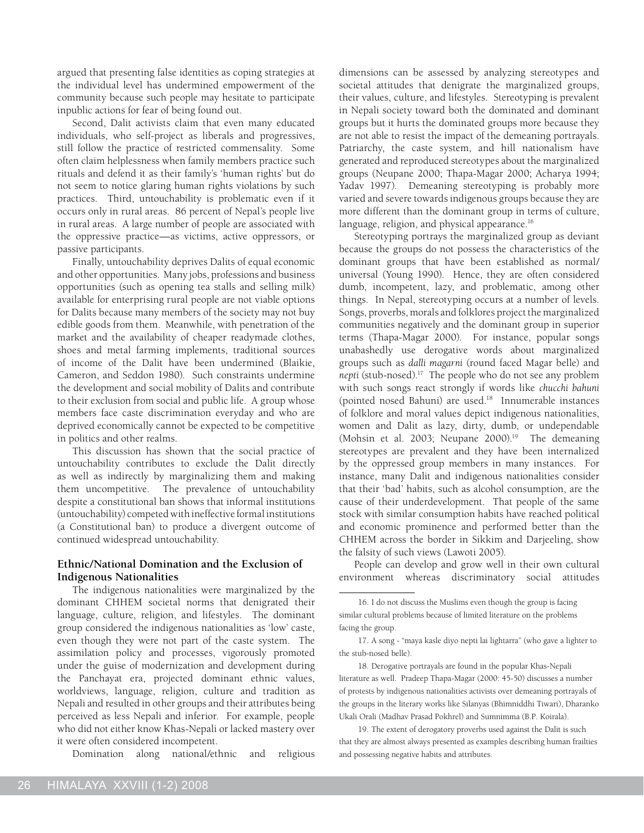argued that presenting false identities as coping strategies at the individual level has undermined empowerment of the community because such people may hesitate to participate inpublic actions for fear of being found out.

Second, Dalit activists claim that even many educated individuals, who self-project as liberals and progressives, still follow the practice of restricted commensality. Some often claim helplessness when family members practice such rituals and defend it as their family's 'human rights' but do not seem to notice glaring human rights violations by such practices. Third, untouchability is problematic even if it occurs only in rural areas. 86 percent of Nepal's people live in rural areas. A large number of people are associated with the oppressive practice—as victims, active oppressors, or passive participants.

Finally, untouchability deprives Dalits of equal economic and other opportunities. Many jobs, professions and business opportunities (such as opening tea stalls and selling milk) available for enterprising rural people are not viable options for Dalits because many members of the society may not buy edible goods from them. Meanwhile, with penetration of the market and the availability of cheaper readymade clothes, shoes and metal farming implements, traditional sources of income of the Dalit have been undermined (Blaikie, Cameron, and Seddon 1980). Such constraints undermine the development and social mobility of Dalits and contribute to their exclusion from social and public life. A group whose members face caste discrimination everyday and who are deprived economically cannot be expected to be competitive in politics and other realms.

This discussion has shown that the social practice of untouchability contributes to exclude the Dalit directly as well as indirectly by marginalizing them and making them uncompetitive. The prevalence of untouchability despite a constitutional ban shows that informal institutions (untouchability) competed with ineffective formal institutions (a Constitutional ban) to produce a divergent outcome of continued widespread untouchability.

# **Ethnic/National Domination and the Exclusion of Indigenous Nationalities**

The indigenous nationalities were marginalized by the dominant CHHEM societal norms that denigrated their language, culture, religion, and lifestyles. The dominant group considered the indigenous nationalities as 'low' caste, even though they were not part of the caste system. The assimilation policy and processes, vigorously promoted under the guise of modernization and development during the Panchayat era, projected dominant ethnic values, worldviews, language, religion, culture and tradition as Nepali and resulted in other groups and their attributes being perceived as less Nepali and inferior. For example, people who did not either know Khas-Nepali or lacked mastery over it were often considered incompetent.

Domination along national/ethnic and religious

dimensions can be assessed by analyzing stereotypes and societal attitudes that denigrate the marginalized groups, their values, culture, and lifestyles. Stereotyping is prevalent in Nepali society toward both the dominated and dominant groups but it hurts the dominated groups more because they are not able to resist the impact of the demeaning portrayals. Patriarchy, the caste system, and hill nationalism have generated and reproduced stereotypes about the marginalized groups (Neupane 2000; Thapa-Magar 2000; Acharya 1994; Yadav 1997). Demeaning stereotyping is probably more varied and severe towards indigenous groups because they are more different than the dominant group in terms of culture, language, religion, and physical appearance.<sup>16</sup>

Stereotyping portrays the marginalized group as deviant because the groups do not possess the characteristics of the dominant groups that have been established as normal/ universal (Young 1990). Hence, they are often considered dumb, incompetent, lazy, and problematic, among other things. In Nepal, stereotyping occurs at a number of levels. Songs, proverbs, morals and folklores project the marginalized communities negatively and the dominant group in superior terms (Thapa-Magar 2000). For instance, popular songs unabashedly use derogative words about marginalized groups such as *dalli magarni* (round faced Magar belle) and *nepti* (stub-nosed).17 The people who do not see any problem with such songs react strongly if words like *chucchi bahuni*  (pointed nosed Bahuni) are used.18 Innumerable instances of folklore and moral values depict indigenous nationalities, women and Dalit as lazy, dirty, dumb, or undependable (Mohsin et al. 2003; Neupane 2000).<sup>19</sup> The demeaning stereotypes are prevalent and they have been internalized by the oppressed group members in many instances. For instance, many Dalit and indigenous nationalities consider that their 'bad' habits, such as alcohol consumption, are the cause of their underdevelopment. That people of the same stock with similar consumption habits have reached political and economic prominence and performed better than the CHHEM across the border in Sikkim and Darjeeling, show the falsity of such views (Lawoti 2005).

People can develop and grow well in their own cultural environment whereas discriminatory social attitudes

18. Derogative portrayals are found in the popular Khas-Nepali literature as well. Pradeep Thapa-Magar (2000: 45-50) discusses a number of protests by indigenous nationalities activists over demeaning portrayals of the groups in the literary works like Silanyas (Bhimniddhi Tiwari), Dharanko Ukali Orali (Madhav Prasad Pokhrel) and Sumnimma (B.P. Koirala).

19. The extent of derogatory proverbs used against the Dalit is such that they are almost always presented as examples describing human frailties and possessing negative habits and attributes.

<sup>16.</sup> I do not discuss the Muslims even though the group is facing similar cultural problems because of limited literature on the problems facing the group.

<sup>17.</sup> A song - "maya kasle diyo nepti lai lightarra" (who gave a lighter to the stub-nosed belle).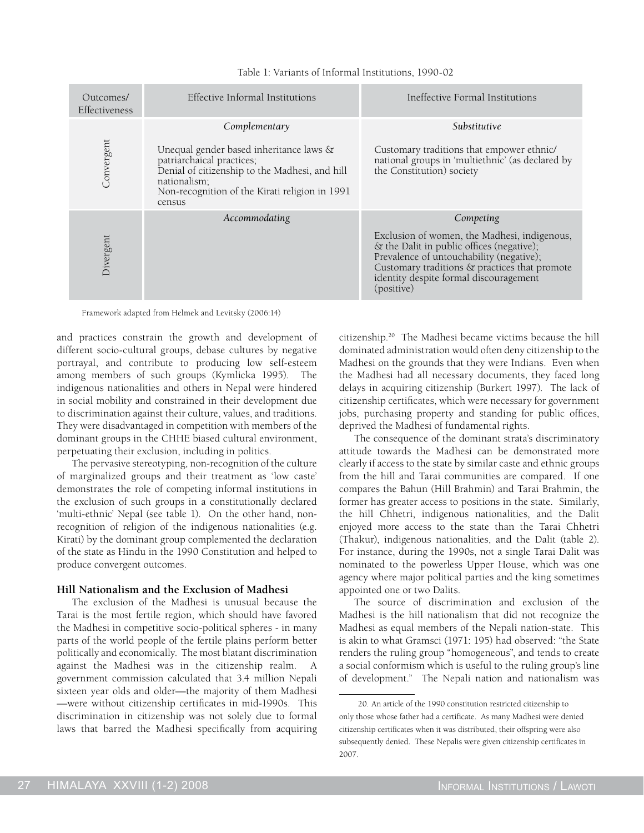| Outcomes/<br>Effectiveness | Effective Informal Institutions                                                                                                                                                                                     | Ineffective Formal Institutions                                                                                                                                                                                                                             |
|----------------------------|---------------------------------------------------------------------------------------------------------------------------------------------------------------------------------------------------------------------|-------------------------------------------------------------------------------------------------------------------------------------------------------------------------------------------------------------------------------------------------------------|
| Convergent                 | Complementary<br>Unequal gender based inheritance laws &<br>patriarchaical practices;<br>Denial of citizenship to the Madhesi, and hill<br>nationalism;<br>Non-recognition of the Kirati religion in 1991<br>census | Substitutive<br>Customary traditions that empower ethnic/<br>national groups in 'multiethnic' (as declared by<br>the Constitution) society                                                                                                                  |
| Divergent                  | Accommodating                                                                                                                                                                                                       | Competing<br>Exclusion of women, the Madhesi, indigenous,<br>& the Dalit in public offices (negative);<br>Prevalence of untouchability (negative);<br>Customary traditions & practices that promote<br>identity despite formal discouragement<br>(positive) |

Table 1: Variants of Informal Institutions, 1990-02

Framework adapted from Helmek and Levitsky (2006:14)

and practices constrain the growth and development of different socio-cultural groups, debase cultures by negative portrayal, and contribute to producing low self-esteem among members of such groups (Kymlicka 1995). The indigenous nationalities and others in Nepal were hindered in social mobility and constrained in their development due to discrimination against their culture, values, and traditions. They were disadvantaged in competition with members of the dominant groups in the CHHE biased cultural environment, perpetuating their exclusion, including in politics.

The pervasive stereotyping, non-recognition of the culture of marginalized groups and their treatment as 'low caste' demonstrates the role of competing informal institutions in the exclusion of such groups in a constitutionally declared 'multi-ethnic' Nepal (see table 1). On the other hand, nonrecognition of religion of the indigenous nationalities (e.g. Kirati) by the dominant group complemented the declaration of the state as Hindu in the 1990 Constitution and helped to produce convergent outcomes.

#### **Hill Nationalism and the Exclusion of Madhesi**

The exclusion of the Madhesi is unusual because the Tarai is the most fertile region, which should have favored the Madhesi in competitive socio-political spheres - in many parts of the world people of the fertile plains perform better politically and economically. The most blatant discrimination against the Madhesi was in the citizenship realm. government commission calculated that 3.4 million Nepali sixteen year olds and older—the majority of them Madhesi —were without citizenship certificates in mid-1990s. This discrimination in citizenship was not solely due to formal laws that barred the Madhesi specifically from acquiring citizenship.20 The Madhesi became victims because the hill dominated administration would often deny citizenship to the Madhesi on the grounds that they were Indians. Even when the Madhesi had all necessary documents, they faced long delays in acquiring citizenship (Burkert 1997). The lack of citizenship certificates, which were necessary for government jobs, purchasing property and standing for public offices, deprived the Madhesi of fundamental rights.

The consequence of the dominant strata's discriminatory attitude towards the Madhesi can be demonstrated more clearly if access to the state by similar caste and ethnic groups from the hill and Tarai communities are compared. If one compares the Bahun (Hill Brahmin) and Tarai Brahmin, the former has greater access to positions in the state. Similarly, the hill Chhetri, indigenous nationalities, and the Dalit enjoyed more access to the state than the Tarai Chhetri (Thakur), indigenous nationalities, and the Dalit (table 2). For instance, during the 1990s, not a single Tarai Dalit was nominated to the powerless Upper House, which was one agency where major political parties and the king sometimes appointed one or two Dalits.

The source of discrimination and exclusion of the Madhesi is the hill nationalism that did not recognize the Madhesi as equal members of the Nepali nation-state. This is akin to what Gramsci (1971: 195) had observed: "the State renders the ruling group "homogeneous", and tends to create a social conformism which is useful to the ruling group's line of development." The Nepali nation and nationalism was

<sup>20.</sup> An article of the 1990 constitution restricted citizenship to only those whose father had a certificate. As many Madhesi were denied citizenship certificates when it was distributed, their offspring were also subsequently denied. These Nepalis were given citizenship certificates in 2007.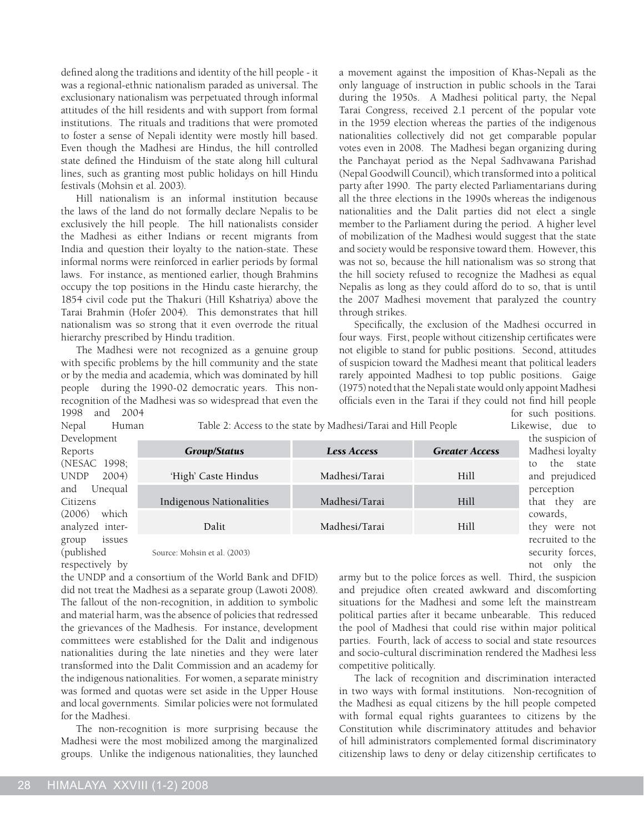defined along the traditions and identity of the hill people - it was a regional-ethnic nationalism paraded as universal. The exclusionary nationalism was perpetuated through informal attitudes of the hill residents and with support from formal institutions. The rituals and traditions that were promoted to foster a sense of Nepali identity were mostly hill based. Even though the Madhesi are Hindus, the hill controlled state defined the Hinduism of the state along hill cultural lines, such as granting most public holidays on hill Hindu festivals (Mohsin et al. 2003).

Hill nationalism is an informal institution because the laws of the land do not formally declare Nepalis to be exclusively the hill people. The hill nationalists consider the Madhesi as either Indians or recent migrants from India and question their loyalty to the nation-state. These informal norms were reinforced in earlier periods by formal laws. For instance, as mentioned earlier, though Brahmins occupy the top positions in the Hindu caste hierarchy, the 1854 civil code put the Thakuri (Hill Kshatriya) above the Tarai Brahmin (Hofer 2004). This demonstrates that hill nationalism was so strong that it even overrode the ritual hierarchy prescribed by Hindu tradition.

The Madhesi were not recognized as a genuine group with specific problems by the hill community and the state or by the media and academia, which was dominated by hill people during the 1990-02 democratic years. This nonrecognition of the Madhesi was so widespread that even the 1998 and 2004

a movement against the imposition of Khas-Nepali as the only language of instruction in public schools in the Tarai during the 1950s. A Madhesi political party, the Nepal Tarai Congress, received 2.1 percent of the popular vote in the 1959 election whereas the parties of the indigenous nationalities collectively did not get comparable popular votes even in 2008. The Madhesi began organizing during the Panchayat period as the Nepal Sadhvawana Parishad (Nepal Goodwill Council), which transformed into a political party after 1990. The party elected Parliamentarians during all the three elections in the 1990s whereas the indigenous nationalities and the Dalit parties did not elect a single member to the Parliament during the period. A higher level of mobilization of the Madhesi would suggest that the state and society would be responsive toward them. However, this was not so, because the hill nationalism was so strong that the hill society refused to recognize the Madhesi as equal Nepalis as long as they could afford do to so, that is until the 2007 Madhesi movement that paralyzed the country through strikes.

Specifically, the exclusion of the Madhesi occurred in four ways. First, people without citizenship certificates were not eligible to stand for public positions. Second, attitudes of suspicion toward the Madhesi meant that political leaders rarely appointed Madhesi to top public positions. Gaige (1975) noted that the Nepali state would only appoint Madhesi officials even in the Tarai if they could not find hill people for such positions.

Likewise, due to

not only the

Nepal Human Develop Reports (NESAC UNDP and Citizen  $(2006)$ analyze group (published respectively by

Table 2: Access to the state by Madhesi/Tarai and Hill People

| oment    |                                 | the suspicion of   |                       |                  |
|----------|---------------------------------|--------------------|-----------------------|------------------|
|          | <b>Group/Status</b>             | <b>Less Access</b> | <b>Greater Access</b> | Madhesi loyalty  |
| 21998;   |                                 |                    |                       | the state<br>to  |
| 2004)    | 'High' Caste Hindus             | Madhesi/Tarai      | Hill                  | and prejudiced   |
| Unequal  |                                 |                    |                       | perception       |
|          | <b>Indigenous Nationalities</b> | Madhesi/Tarai      | Hill                  | that they are    |
| which    |                                 |                    |                       | cowards.         |
| d inter- | Dalit                           | Madhesi/Tarai      | Hill                  | they were not    |
| issues   |                                 |                    |                       | recruited to the |
| 2ed      | Source: Mohsin et al. (2003)    |                    |                       | security forces. |

Source: Mohsin et al. (2003)

the UNDP and a consortium of the World Bank and DFID) did not treat the Madhesi as a separate group (Lawoti 2008). The fallout of the non-recognition, in addition to symbolic and material harm, was the absence of policies that redressed the grievances of the Madhesis. For instance, development committees were established for the Dalit and indigenous nationalities during the late nineties and they were later transformed into the Dalit Commission and an academy for the indigenous nationalities. For women, a separate ministry was formed and quotas were set aside in the Upper House and local governments. Similar policies were not formulated for the Madhesi.

The non-recognition is more surprising because the Madhesi were the most mobilized among the marginalized groups. Unlike the indigenous nationalities, they launched

army but to the police forces as well. Third, the suspicion and prejudice often created awkward and discomforting situations for the Madhesi and some left the mainstream political parties after it became unbearable. This reduced the pool of Madhesi that could rise within major political parties. Fourth, lack of access to social and state resources and socio-cultural discrimination rendered the Madhesi less competitive politically.

The lack of recognition and discrimination interacted in two ways with formal institutions. Non-recognition of the Madhesi as equal citizens by the hill people competed with formal equal rights guarantees to citizens by the Constitution while discriminatory attitudes and behavior of hill administrators complemented formal discriminatory citizenship laws to deny or delay citizenship certificates to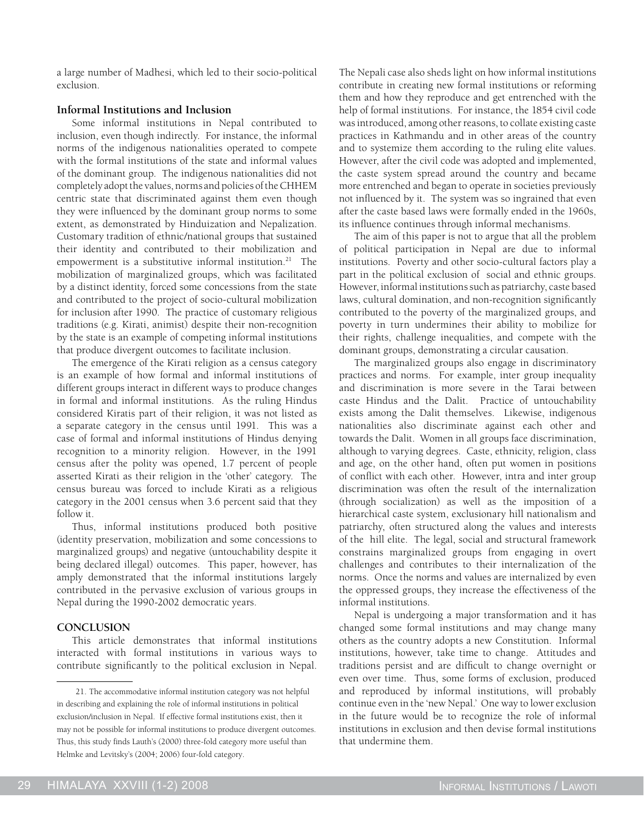a large number of Madhesi, which led to their socio-political exclusion.

# **Informal Institutions and Inclusion**

Some informal institutions in Nepal contributed to inclusion, even though indirectly. For instance, the informal norms of the indigenous nationalities operated to compete with the formal institutions of the state and informal values of the dominant group. The indigenous nationalities did not completely adopt the values, norms and policies of the CHHEM centric state that discriminated against them even though they were influenced by the dominant group norms to some extent, as demonstrated by Hinduization and Nepalization. Customary tradition of ethnic/national groups that sustained their identity and contributed to their mobilization and empowerment is a substitutive informal institution.<sup>21</sup> The mobilization of marginalized groups, which was facilitated by a distinct identity, forced some concessions from the state and contributed to the project of socio-cultural mobilization for inclusion after 1990. The practice of customary religious traditions (e.g. Kirati, animist) despite their non-recognition by the state is an example of competing informal institutions that produce divergent outcomes to facilitate inclusion.

The emergence of the Kirati religion as a census category is an example of how formal and informal institutions of different groups interact in different ways to produce changes in formal and informal institutions. As the ruling Hindus considered Kiratis part of their religion, it was not listed as a separate category in the census until 1991. This was a case of formal and informal institutions of Hindus denying recognition to a minority religion. However, in the 1991 census after the polity was opened, 1.7 percent of people asserted Kirati as their religion in the 'other' category. The census bureau was forced to include Kirati as a religious category in the 2001 census when 3.6 percent said that they follow it.

Thus, informal institutions produced both positive (identity preservation, mobilization and some concessions to marginalized groups) and negative (untouchability despite it being declared illegal) outcomes. This paper, however, has amply demonstrated that the informal institutions largely contributed in the pervasive exclusion of various groups in Nepal during the 1990-2002 democratic years.

# **Conclusion**

This article demonstrates that informal institutions interacted with formal institutions in various ways to contribute significantly to the political exclusion in Nepal.

The Nepali case also sheds light on how informal institutions contribute in creating new formal institutions or reforming them and how they reproduce and get entrenched with the help of formal institutions. For instance, the 1854 civil code was introduced, among other reasons, to collate existing caste practices in Kathmandu and in other areas of the country and to systemize them according to the ruling elite values. However, after the civil code was adopted and implemented, the caste system spread around the country and became more entrenched and began to operate in societies previously not influenced by it. The system was so ingrained that even after the caste based laws were formally ended in the 1960s, its influence continues through informal mechanisms.

The aim of this paper is not to argue that all the problem of political participation in Nepal are due to informal institutions. Poverty and other socio-cultural factors play a part in the political exclusion of social and ethnic groups. However, informal institutions such as patriarchy, caste based laws, cultural domination, and non-recognition significantly contributed to the poverty of the marginalized groups, and poverty in turn undermines their ability to mobilize for their rights, challenge inequalities, and compete with the dominant groups, demonstrating a circular causation.

The marginalized groups also engage in discriminatory practices and norms. For example, inter group inequality and discrimination is more severe in the Tarai between caste Hindus and the Dalit. Practice of untouchability exists among the Dalit themselves. Likewise, indigenous nationalities also discriminate against each other and towards the Dalit. Women in all groups face discrimination, although to varying degrees. Caste, ethnicity, religion, class and age, on the other hand, often put women in positions of conflict with each other. However, intra and inter group discrimination was often the result of the internalization (through socialization) as well as the imposition of a hierarchical caste system, exclusionary hill nationalism and patriarchy, often structured along the values and interests of the hill elite. The legal, social and structural framework constrains marginalized groups from engaging in overt challenges and contributes to their internalization of the norms. Once the norms and values are internalized by even the oppressed groups, they increase the effectiveness of the informal institutions.

Nepal is undergoing a major transformation and it has changed some formal institutions and may change many others as the country adopts a new Constitution. Informal institutions, however, take time to change. Attitudes and traditions persist and are difficult to change overnight or even over time. Thus, some forms of exclusion, produced and reproduced by informal institutions, will probably continue even in the 'new Nepal.' One way to lower exclusion in the future would be to recognize the role of informal institutions in exclusion and then devise formal institutions that undermine them.

<sup>21.</sup> The accommodative informal institution category was not helpful in describing and explaining the role of informal institutions in political exclusion/inclusion in Nepal. If effective formal institutions exist, then it may not be possible for informal institutions to produce divergent outcomes. Thus, this study finds Lauth's (2000) three-fold category more useful than Helmke and Levitsky's (2004; 2006) four-fold category.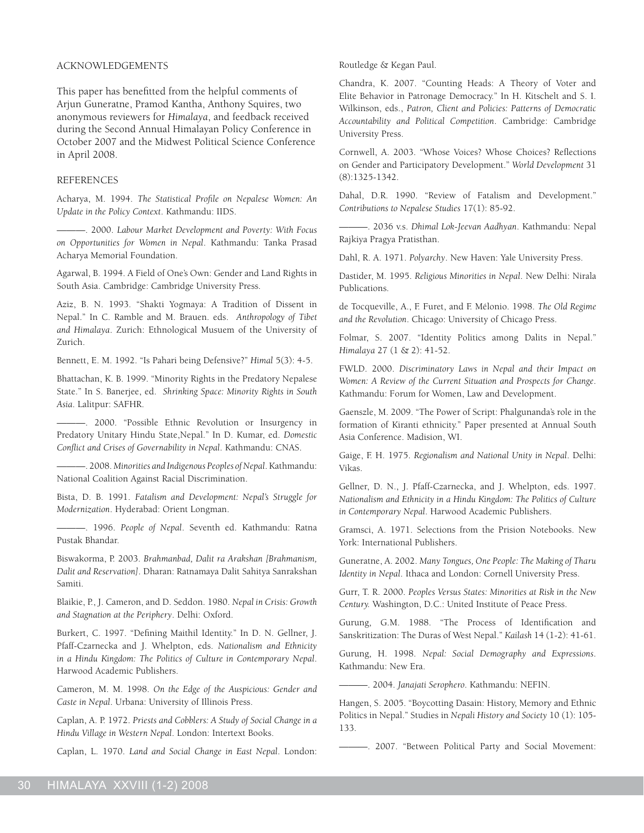#### acknowledgementS

This paper has benefitted from the helpful comments of Arjun Guneratne, Pramod Kantha, Anthony Squires, two anonymous reviewers for *Himalaya*, and feedback received during the Second Annual Himalayan Policy Conference in October 2007 and the Midwest Political Science Conference in April 2008.

#### REFERENCES

Acharya, M. 1994. *The Statistical Profile on Nepalese Women: An Update in the Policy Context*. Kathmandu: IIDS.

———. 2000. *Labour Market Development and Poverty: With Focus on Opportunities for Women in Nepal*. Kathmandu: Tanka Prasad Acharya Memorial Foundation.

Agarwal, B. 1994. A Field of One's Own: Gender and Land Rights in South Asia. Cambridge: Cambridge University Press.

Aziz, B. N. 1993. "Shakti Yogmaya: A Tradition of Dissent in Nepal." In C. Ramble and M. Brauen. eds. *Anthropology of Tibet and Himalaya*. Zurich: Ethnological Musuem of the University of Zurich.

Bennett, E. M. 1992. "Is Pahari being Defensive?" *Himal* 5(3): 4-5.

Bhattachan, K. B. 1999. "Minority Rights in the Predatory Nepalese State." In S. Banerjee, ed. *Shrinking Space: Minority Rights in South Asia*. Lalitpur: SAFHR.

———. 2000. "Possible Ethnic Revolution or Insurgency in Predatory Unitary Hindu State,Nepal." In D. Kumar, ed. *Domestic Conflict and Crises of Governability in Nepal*. Kathmandu: CNAS.

———. 2008. *Minorities and Indigenous Peoples of Nepal*. Kathmandu: National Coalition Against Racial Discrimination.

Bista, D. B. 1991. *Fatalism and Development: Nepal's Struggle for Modernization*. Hyderabad: Orient Longman.

———. 1996. *People of Nepal*. Seventh ed. Kathmandu: Ratna Pustak Bhandar.

Biswakorma, P. 2003. *Brahmanbad, Dalit ra Arakshan [Brahmanism, Dalit and Reservation]*. Dharan: Ratnamaya Dalit Sahitya Sanrakshan Samiti.

Blaikie, P., J. Cameron, and D. Seddon. 1980. *Nepal in Crisis: Growth and Stagnation at the Periphery*. Delhi: Oxford.

Burkert, C. 1997. "Defining Maithil Identity." In D. N. Gellner, J. Pfaff-Czarnecka and J. Whelpton, eds. *Nationalism and Ethnicity in a Hindu Kingdom: The Politics of Culture in Contemporary Nepal*. Harwood Academic Publishers.

Cameron, M. M. 1998. *On the Edge of the Auspicious: Gender and Caste in Nepal*. Urbana: University of Illinois Press.

Caplan, A. P. 1972. *Priests and Cobblers: A Study of Social Change in a Hindu Village in Western Nepal*. London: Intertext Books.

Caplan, L. 1970. *Land and Social Change in East Nepal*. London:

Routledge & Kegan Paul.

Chandra, K. 2007. "Counting Heads: A Theory of Voter and Elite Behavior in Patronage Democracy." In H. Kitschelt and S. I. Wilkinson, eds., *Patron, Client and Policies: Patterns of Democratic Accountability and Political Competition*. Cambridge: Cambridge University Press.

Cornwell, A. 2003. "Whose Voices? Whose Choices? Reflections on Gender and Participatory Development." *World Development* 31 (8):1325-1342.

Dahal, D.R. 1990. "Review of Fatalism and Development." *Contributions to Nepalese Studies* 17(1): 85-92.

———. 2036 v.s. *Dhimal Lok-Jeevan Aadhyan*. Kathmandu: Nepal Rajkiya Pragya Pratisthan.

Dahl, R. A. 1971. *Polyarchy*. New Haven: Yale University Press.

Dastider, M. 1995. *Religious Minorities in Nepal*. New Delhi: Nirala Publications.

de Tocqueville, A., F. Furet, and F. Mélonio. 1998. *The Old Regime and the Revolution*. Chicago: University of Chicago Press.

Folmar, S. 2007. "Identity Politics among Dalits in Nepal." *Himalaya* 27 (1 & 2): 41-52.

FWLD. 2000. *Discriminatory Laws in Nepal and their Impact on Women: A Review of the Current Situation and Prospects for Change*. Kathmandu: Forum for Women, Law and Development.

Gaenszle, M. 2009. "The Power of Script: Phalgunanda's role in the formation of Kiranti ethnicity." Paper presented at Annual South Asia Conference. Madision, WI.

Gaige, F. H. 1975. *Regionalism and National Unity in Nepal*. Delhi: Vikas.

Gellner, D. N., J. Pfaff-Czarnecka, and J. Whelpton, eds. 1997. *Nationalism and Ethnicity in a Hindu Kingdom: The Politics of Culture in Contemporary Nepal*. Harwood Academic Publishers.

Gramsci, A. 1971. Selections from the Prision Notebooks. New York: International Publishers.

Guneratne, A. 2002. *Many Tongues, One People: The Making of Tharu Identity in Nepal*. Ithaca and London: Cornell University Press.

Gurr, T. R. 2000. *Peoples Versus States: Minorities at Risk in the New Century.* Washington, D.C.: United Institute of Peace Press.

Gurung, G.M. 1988. "The Process of Identification and Sanskritization: The Duras of West Nepal." *Kailash* 14 (1-2): 41-61.

Gurung, H. 1998. *Nepal: Social Demography and Expressions*. Kathmandu: New Era.

———. 2004. *Janajati Serophero*. Kathmandu: NEFIN.

Hangen, S. 2005. "Boycotting Dasain: History, Memory and Ethnic Politics in Nepal." Studies in *Nepali History and Society* 10 (1): 105- 133.

———. 2007. "Between Political Party and Social Movement: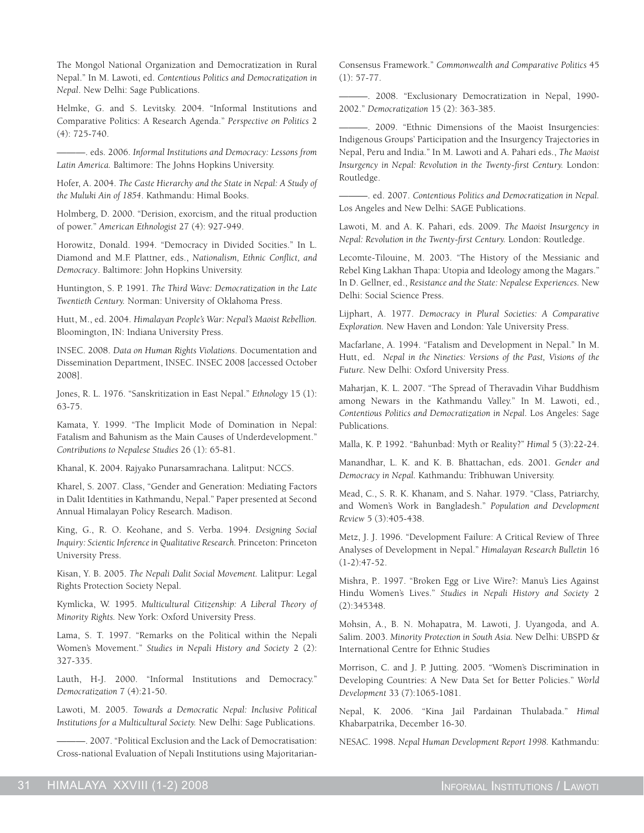The Mongol National Organization and Democratization in Rural Nepal." In M. Lawoti, ed. *Contentious Politics and Democratization in Nepal*. New Delhi: Sage Publications.

Helmke, G. and S. Levitsky. 2004. "Informal Institutions and Comparative Politics: A Research Agenda." *Perspective on Politics* 2 (4): 725-740.

———. eds. 2006. *Informal Institutions and Democracy: Lessons from Latin America.* Baltimore: The Johns Hopkins University.

Hofer, A. 2004. *The Caste Hierarchy and the State in Nepal: A Study of the Muluki Ain of 1854*. Kathmandu: Himal Books.

Holmberg, D. 2000. "Derision, exorcism, and the ritual production of power." *American Ethnologist* 27 (4): 927-949.

Horowitz, Donald. 1994. "Democracy in Divided Socities." In L. Diamond and M.F. Plattner, eds., *Nationalism, Ethnic Conflict, and Democracy*. Baltimore: John Hopkins University.

Huntington, S. P. 1991. *The Third Wave: Democratization in the Late Twentieth Century.* Norman: University of Oklahoma Press.

Hutt, M., ed. 2004. *Himalayan People's War: Nepal's Maoist Rebellion.* Bloomington, IN: Indiana University Press.

INSEC. 2008. *Data on Human Rights Violations*. Documentation and Dissemination Department, INSEC. INSEC 2008 [accessed October 2008].

Jones, R. L. 1976. "Sanskritization in East Nepal." *Ethnology* 15 (1): 63-75.

Kamata, Y. 1999. "The Implicit Mode of Domination in Nepal: Fatalism and Bahunism as the Main Causes of Underdevelopment." *Contributions to Nepalese Studies* 26 (1): 65-81.

Khanal, K. 2004. Rajyako Punarsamrachana. Lalitput: NCCS.

Kharel, S. 2007. Class, "Gender and Generation: Mediating Factors in Dalit Identities in Kathmandu, Nepal." Paper presented at Second Annual Himalayan Policy Research. Madison.

King, G., R. O. Keohane, and S. Verba. 1994. *Designing Social Inquiry: Scientic Inference in Qualitative Research.* Princeton: Princeton University Press.

Kisan, Y. B. 2005. *The Nepali Dalit Social Movement.* Lalitpur: Legal Rights Protection Society Nepal.

Kymlicka, W. 1995. *Multicultural Citizenship: A Liberal Theory of Minority Rights.* New York: Oxford University Press.

Lama, S. T. 1997. "Remarks on the Political within the Nepali Women's Movement." *Studies in Nepali History and Society* 2 (2): 327-335.

Lauth, H-J. 2000. "Informal Institutions and Democracy." *Democratization* 7 (4):21-50.

Lawoti, M. 2005. *Towards a Democratic Nepal: Inclusive Political Institutions for a Multicultural Society.* New Delhi: Sage Publications.

———. 2007. "Political Exclusion and the Lack of Democratisation: Cross-national Evaluation of Nepali Institutions using MajoritarianConsensus Framework." *Commonwealth and Comparative Politics* 45 (1): 57-77.

———. 2008. "Exclusionary Democratization in Nepal, 1990- 2002." *Democratization* 15 (2): 363-385.

———. 2009. "Ethnic Dimensions of the Maoist Insurgencies: Indigenous Groups' Participation and the Insurgency Trajectories in Nepal, Peru and India." In M. Lawoti and A. Pahari eds., *The Maoist Insurgency in Nepal: Revolution in the Twenty-first Century.* London: Routledge.

———. ed. 2007. *Contentious Politics and Democratization in Nepal.* Los Angeles and New Delhi: SAGE Publications.

Lawoti, M. and A. K. Pahari, eds. 2009. *The Maoist Insurgency in Nepal: Revolution in the Twenty-first Century.* London: Routledge.

Lecomte-Tilouine, M. 2003. "The History of the Messianic and Rebel King Lakhan Thapa: Utopia and Ideology among the Magars." In D. Gellner, ed., *Resistance and the State: Nepalese Experiences.* New Delhi: Social Science Press.

Lijphart, A. 1977. *Democracy in Plural Societies: A Comparative Exploration.* New Haven and London: Yale University Press.

Macfarlane, A. 1994. "Fatalism and Development in Nepal." In M. Hutt, ed. *Nepal in the Nineties: Versions of the Past, Visions of the Future.* New Delhi: Oxford University Press.

Maharjan, K. L. 2007. "The Spread of Theravadin Vihar Buddhism among Newars in the Kathmandu Valley." In M. Lawoti, ed., *Contentious Politics and Democratization in Nepal.* Los Angeles: Sage Publications.

Malla, K. P. 1992. "Bahunbad: Myth or Reality?" *Himal* 5 (3):22-24.

Manandhar, L. K. and K. B. Bhattachan, eds. 2001. *Gender and Democracy in Nepal.* Kathmandu: Tribhuwan University.

Mead, C., S. R. K. Khanam, and S. Nahar. 1979. "Class, Patriarchy, and Women's Work in Bangladesh." *Population and Development Review* 5 (3):405-438.

Metz, J. J. 1996. "Development Failure: A Critical Review of Three Analyses of Development in Nepal." *Himalayan Research Bulletin* 16 (1-2):47-52.

Mishra, P.. 1997. "Broken Egg or Live Wire?: Manu's Lies Against Hindu Women's Lives." *Studies in Nepali History and Society* 2 (2):345348.

Mohsin, A., B. N. Mohapatra, M. Lawoti, J. Uyangoda, and A. Salim. 2003. *Minority Protection in South Asia.* New Delhi: UBSPD & International Centre for Ethnic Studies

Morrison, C. and J. P. Jutting. 2005. "Women's Discrimination in Developing Countries: A New Data Set for Better Policies." *World Development* 33 (7):1065-1081.

Nepal, K. 2006. "Kina Jail Pardainan Thulabada." *Himal* Khabarpatrika, December 16-30.

NESAC. 1998. *Nepal Human Development Report 1998.* Kathmandu: